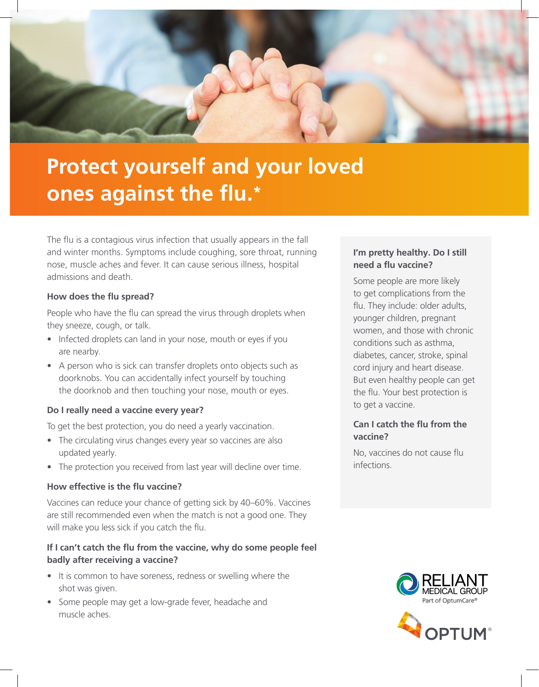

# **Protect yourself and your loved ones against the flu.\***

The flu is a contagious virus infection that usually appears in the fall and winter months. Symptoms include coughing, sore throat, running nose, muscle aches and fever. It can cause serious illness, hospital admissions and death.

#### **How does the flu spread?**

People who have the flu can spread the virus through droplets when they sneeze, cough, or talk.

- Infected droplets can land in your nose, mouth or eyes if you are nearby.
- A person who is sick can transfer droplets onto objects such as doorknobs. You can accidentally infect yourself by touching the doorknob and then touching your nose, mouth or eyes.

#### **Do I really need a vaccine every year?**

To get the best protection, you do need a yearly vaccination.

- The circulating virus changes every year so vaccines are also updated yearly.
- The protection you received from last year will decline over time.

#### **How effective is the flu vaccine?**

Vaccines can reduce your chance of getting sick by 40–60%. Vaccines are still recommended even when the match is not a good one. They will make you less sick if you catch the flu.

## **If I can't catch the flu from the vaccine, why do some people feel badly after receiving a vaccine?**

- It is common to have soreness, redness or swelling where the shot was given.
- Some people may get a low-grade fever, headache and muscle aches.

## **I'm pretty healthy. Do I still need a flu vaccine?**

Some people are more likely to get complications from the flu. They include: older adults, younger children, pregnant women, and those with chronic conditions such as asthma, diabetes, cancer, stroke, spinal cord injury and heart disease. But even healthy people can get the flu. Your best protection is to get a vaccine.

## **Can I catch the flu from the vaccine?**

No, vaccines do not cause flu infections.